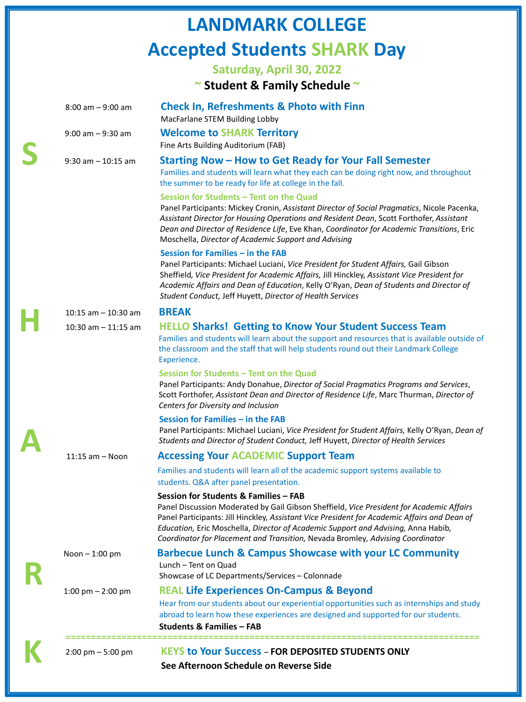# **LANDMARK COLLEGE Accepted Students SHARK Day**

### **Saturday, April 30, 2022**

### **~ Student & Family Schedule ~**

| $8:00$ am $-9:00$ am                | <b>Check In, Refreshments &amp; Photo with Finn</b><br>MacFarlane STEM Building Lobby                                                                                                                                                                                                                                                                                                                    |
|-------------------------------------|----------------------------------------------------------------------------------------------------------------------------------------------------------------------------------------------------------------------------------------------------------------------------------------------------------------------------------------------------------------------------------------------------------|
| $9:00$ am $-9:30$ am                | <b>Welcome to SHARK Territory</b><br>Fine Arts Building Auditorium (FAB)                                                                                                                                                                                                                                                                                                                                 |
| $9:30$ am $-10:15$ am               | Starting Now – How to Get Ready for Your Fall Semester<br>Families and students will learn what they each can be doing right now, and throughout<br>the summer to be ready for life at college in the fall.                                                                                                                                                                                              |
|                                     | Session for Students - Tent on the Quad<br>Panel Participants: Mickey Cronin, Assistant Director of Social Pragmatics, Nicole Pacenka,<br>Assistant Director for Housing Operations and Resident Dean, Scott Forthofer, Assistant<br>Dean and Director of Residence Life, Eve Khan, Coordinator for Academic Transitions, Eric<br>Moschella, Director of Academic Support and Advising                   |
|                                     | Session for Families - in the FAB<br>Panel Participants: Michael Luciani, Vice President for Student Affairs, Gail Gibson<br>Sheffield, Vice President for Academic Affairs, Jill Hinckley, Assistant Vice President for<br>Academic Affairs and Dean of Education, Kelly O'Ryan, Dean of Students and Director of<br>Student Conduct, Jeff Huyett, Director of Health Services                          |
| 10:15 am $-$ 10:30 am               | <b>BREAK</b>                                                                                                                                                                                                                                                                                                                                                                                             |
| 10:30 am $-$ 11:15 am               | <b>HELLO Sharks! Getting to Know Your Student Success Team</b><br>Families and students will learn about the support and resources that is available outside of<br>the classroom and the staff that will help students round out their Landmark College<br>Experience.                                                                                                                                   |
|                                     | Session for Students - Tent on the Quad<br>Panel Participants: Andy Donahue, Director of Social Pragmatics Programs and Services,<br>Scott Forthofer, Assistant Dean and Director of Residence Life, Marc Thurman, Director of<br>Centers for Diversity and Inclusion                                                                                                                                    |
|                                     | Session for Families - in the FAB<br>Panel Participants: Michael Luciani, Vice President for Student Affairs, Kelly O'Ryan, Dean of<br>Students and Director of Student Conduct, Jeff Huyett, Director of Health Services                                                                                                                                                                                |
| $11:15$ am - Noon                   | <b>Accessing Your ACADEMIC Support Team</b>                                                                                                                                                                                                                                                                                                                                                              |
|                                     | Families and students will learn all of the academic support systems available to<br>students. Q&A after panel presentation.                                                                                                                                                                                                                                                                             |
|                                     | Session for Students & Families - FAB<br>Panel Discussion Moderated by Gail Gibson Sheffield, Vice President for Academic Affairs<br>Panel Participants: Jill Hinckley, Assistant Vice President for Academic Affairs and Dean of<br>Education, Eric Moschella, Director of Academic Support and Advising, Anna Habib,<br>Coordinator for Placement and Transition, Nevada Bromley, Advising Coordinator |
| Noon $-1:00$ pm                     | <b>Barbecue Lunch &amp; Campus Showcase with your LC Community</b><br>Lunch - Tent on Quad<br>Showcase of LC Departments/Services - Colonnade                                                                                                                                                                                                                                                            |
| 1:00 pm $-$ 2:00 pm                 | <b>REAL Life Experiences On-Campus &amp; Beyond</b><br>Hear from our students about our experiential opportunities such as internships and study<br>abroad to learn how these experiences are designed and supported for our students.<br><b>Students &amp; Families - FAB</b>                                                                                                                           |
| $2:00 \text{ pm} - 5:00 \text{ pm}$ | <b>KEYS to Your Success - FOR DEPOSITED STUDENTS ONLY</b><br>See Afternoon Schedule on Reverse Side                                                                                                                                                                                                                                                                                                      |